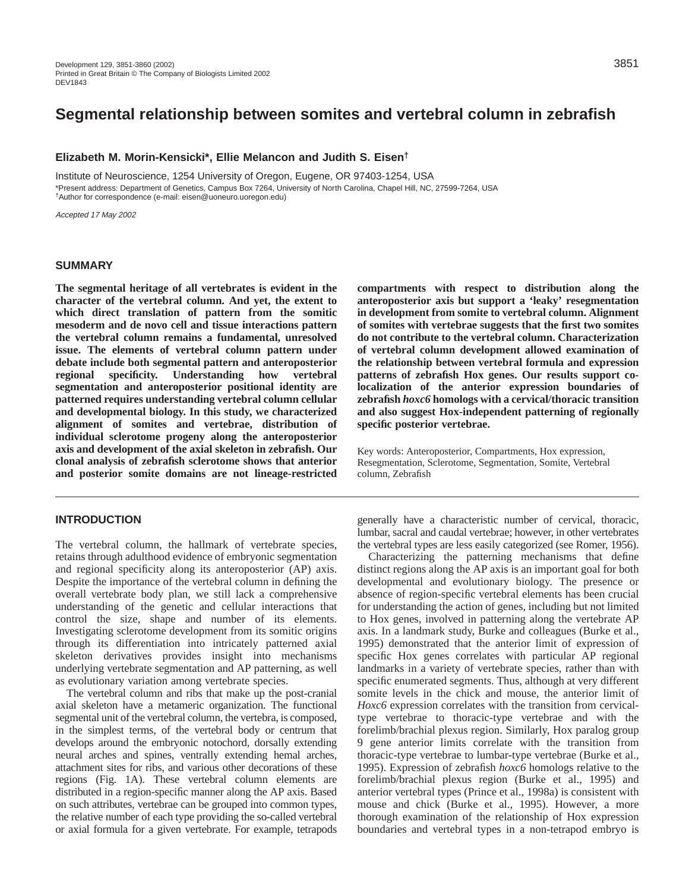# **Segmental relationship between somites and vertebral column in zebrafish**

### **Elizabeth M. Morin-Kensicki\*, Ellie Melancon and Judith S. Eisen†**

Institute of Neuroscience, 1254 University of Oregon, Eugene, OR 97403-1254, USA \*Present address: Department of Genetics, Campus Box 7264, University of North Carolina, Chapel Hill, NC, 27599-7264, USA †Author for correspondence (e-mail: eisen@uoneuro.uoregon.edu)

Accepted 17 May 2002

### **SUMMARY**

**The segmental heritage of all vertebrates is evident in the character of the vertebral column. And yet, the extent to which direct translation of pattern from the somitic mesoderm and de novo cell and tissue interactions pattern the vertebral column remains a fundamental, unresolved issue. The elements of vertebral column pattern under debate include both segmental pattern and anteroposterior regional specificity. Understanding how vertebral segmentation and anteroposterior positional identity are patterned requires understanding vertebral column cellular and developmental biology. In this study, we characterized alignment of somites and vertebrae, distribution of individual sclerotome progeny along the anteroposterior axis and development of the axial skeleton in zebrafish. Our clonal analysis of zebrafish sclerotome shows that anterior and posterior somite domains are not lineage-restricted**

# **INTRODUCTION**

The vertebral column, the hallmark of vertebrate species, retains through adulthood evidence of embryonic segmentation and regional specificity along its anteroposterior (AP) axis. Despite the importance of the vertebral column in defining the overall vertebrate body plan, we still lack a comprehensive understanding of the genetic and cellular interactions that control the size, shape and number of its elements. Investigating sclerotome development from its somitic origins through its differentiation into intricately patterned axial skeleton derivatives provides insight into mechanisms underlying vertebrate segmentation and AP patterning, as well as evolutionary variation among vertebrate species.

The vertebral column and ribs that make up the post-cranial axial skeleton have a metameric organization. The functional segmental unit of the vertebral column, the vertebra, is composed, in the simplest terms, of the vertebral body or centrum that develops around the embryonic notochord, dorsally extending neural arches and spines, ventrally extending hemal arches, attachment sites for ribs, and various other decorations of these regions (Fig. 1A). These vertebral column elements are distributed in a region-specific manner along the AP axis. Based on such attributes, vertebrae can be grouped into common types, the relative number of each type providing the so-called vertebral or axial formula for a given vertebrate. For example, tetrapods

**compartments with respect to distribution along the anteroposterior axis but support a 'leaky' resegmentation in development from somite to vertebral column. Alignment of somites with vertebrae suggests that the first two somites do not contribute to the vertebral column. Characterization of vertebral column development allowed examination of the relationship between vertebral formula and expression patterns of zebrafish Hox genes. Our results support colocalization of the anterior expression boundaries of zebrafish** *hoxc6* **homologs with a cervical/thoracic transition and also suggest Hox-independent patterning of regionally specific posterior vertebrae.**

Key words: Anteroposterior, Compartments, Hox expression, Resegmentation, Sclerotome, Segmentation, Somite, Vertebral column, Zebrafish

generally have a characteristic number of cervical, thoracic, lumbar, sacral and caudal vertebrae; however, in other vertebrates the vertebral types are less easily categorized (see Romer, 1956).

Characterizing the patterning mechanisms that define distinct regions along the AP axis is an important goal for both developmental and evolutionary biology. The presence or absence of region-specific vertebral elements has been crucial for understanding the action of genes, including but not limited to Hox genes, involved in patterning along the vertebrate AP axis. In a landmark study, Burke and colleagues (Burke et al., 1995) demonstrated that the anterior limit of expression of specific Hox genes correlates with particular AP regional landmarks in a variety of vertebrate species, rather than with specific enumerated segments. Thus, although at very different somite levels in the chick and mouse, the anterior limit of *Hoxc6* expression correlates with the transition from cervicaltype vertebrae to thoracic-type vertebrae and with the forelimb/brachial plexus region. Similarly, Hox paralog group 9 gene anterior limits correlate with the transition from thoracic-type vertebrae to lumbar-type vertebrae (Burke et al., 1995). Expression of zebrafish *hoxc6* homologs relative to the forelimb/brachial plexus region (Burke et al., 1995) and anterior vertebral types (Prince et al., 1998a) is consistent with mouse and chick (Burke et al., 1995). However, a more thorough examination of the relationship of Hox expression boundaries and vertebral types in a non-tetrapod embryo is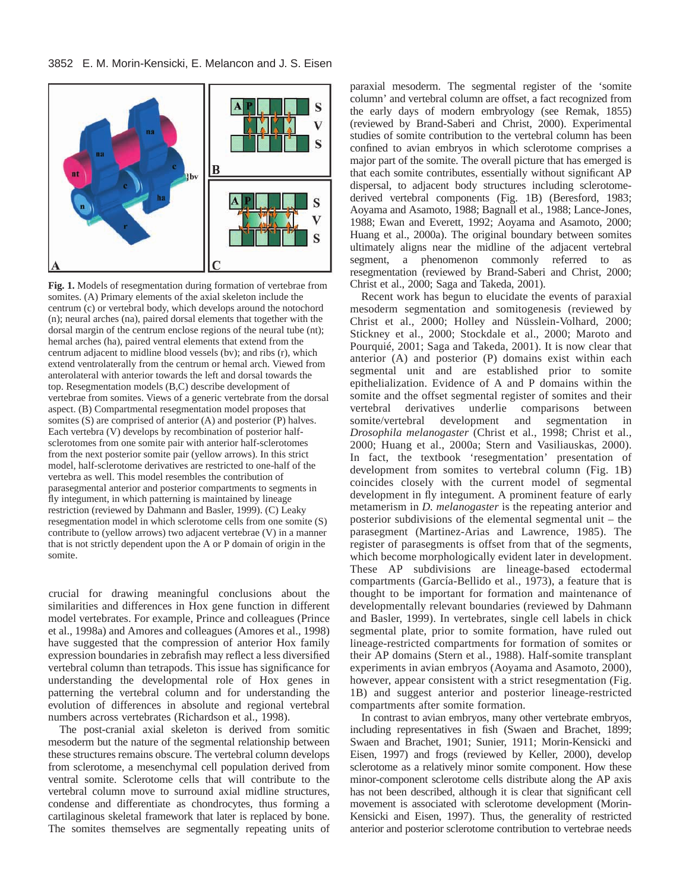

**Fig. 1.** Models of resegmentation during formation of vertebrae from somites. (A) Primary elements of the axial skeleton include the centrum (c) or vertebral body, which develops around the notochord (n); neural arches (na), paired dorsal elements that together with the dorsal margin of the centrum enclose regions of the neural tube (nt); hemal arches (ha), paired ventral elements that extend from the centrum adjacent to midline blood vessels (bv); and ribs (r), which extend ventrolaterally from the centrum or hemal arch. Viewed from anterolateral with anterior towards the left and dorsal towards the top. Resegmentation models (B,C) describe development of vertebrae from somites. Views of a generic vertebrate from the dorsal aspect. (B) Compartmental resegmentation model proposes that somites (S) are comprised of anterior (A) and posterior (P) halves. Each vertebra (V) develops by recombination of posterior halfsclerotomes from one somite pair with anterior half-sclerotomes from the next posterior somite pair (yellow arrows). In this strict model, half-sclerotome derivatives are restricted to one-half of the vertebra as well. This model resembles the contribution of parasegmental anterior and posterior compartments to segments in fly integument, in which patterning is maintained by lineage restriction (reviewed by Dahmann and Basler, 1999). (C) Leaky resegmentation model in which sclerotome cells from one somite (S) contribute to (yellow arrows) two adjacent vertebrae (V) in a manner that is not strictly dependent upon the A or P domain of origin in the somite.

crucial for drawing meaningful conclusions about the similarities and differences in Hox gene function in different model vertebrates. For example, Prince and colleagues (Prince et al., 1998a) and Amores and colleagues (Amores et al., 1998) have suggested that the compression of anterior Hox family expression boundaries in zebrafish may reflect a less diversified vertebral column than tetrapods. This issue has significance for understanding the developmental role of Hox genes in patterning the vertebral column and for understanding the evolution of differences in absolute and regional vertebral numbers across vertebrates (Richardson et al., 1998).

The post-cranial axial skeleton is derived from somitic mesoderm but the nature of the segmental relationship between these structures remains obscure. The vertebral column develops from sclerotome, a mesenchymal cell population derived from ventral somite. Sclerotome cells that will contribute to the vertebral column move to surround axial midline structures, condense and differentiate as chondrocytes, thus forming a cartilaginous skeletal framework that later is replaced by bone. The somites themselves are segmentally repeating units of paraxial mesoderm. The segmental register of the 'somite column' and vertebral column are offset, a fact recognized from the early days of modern embryology (see Remak, 1855) (reviewed by Brand-Saberi and Christ, 2000). Experimental studies of somite contribution to the vertebral column has been confined to avian embryos in which sclerotome comprises a major part of the somite. The overall picture that has emerged is that each somite contributes, essentially without significant AP dispersal, to adjacent body structures including sclerotomederived vertebral components (Fig. 1B) (Beresford, 1983; Aoyama and Asamoto, 1988; Bagnall et al., 1988; Lance-Jones, 1988; Ewan and Everett, 1992; Aoyama and Asamoto, 2000; Huang et al., 2000a). The original boundary between somites ultimately aligns near the midline of the adjacent vertebral segment, a phenomenon commonly referred to as resegmentation (reviewed by Brand-Saberi and Christ, 2000; Christ et al., 2000; Saga and Takeda, 2001).

Recent work has begun to elucidate the events of paraxial mesoderm segmentation and somitogenesis (reviewed by Christ et al., 2000; Holley and Nüsslein-Volhard, 2000; Stickney et al., 2000; Stockdale et al., 2000; Maroto and Pourquié, 2001; Saga and Takeda, 2001). It is now clear that anterior (A) and posterior (P) domains exist within each segmental unit and are established prior to somite epithelialization. Evidence of A and P domains within the somite and the offset segmental register of somites and their vertebral derivatives underlie comparisons between somite/vertebral development and segmentation in *Drosophila melanogaster* (Christ et al., 1998; Christ et al., 2000; Huang et al., 2000a; Stern and Vasiliauskas, 2000). In fact, the textbook 'resegmentation' presentation of development from somites to vertebral column (Fig. 1B) coincides closely with the current model of segmental development in fly integument. A prominent feature of early metamerism in *D. melanogaster* is the repeating anterior and posterior subdivisions of the elemental segmental unit – the parasegment (Martinez-Arias and Lawrence, 1985). The register of parasegments is offset from that of the segments, which become morphologically evident later in development. These AP subdivisions are lineage-based ectodermal compartments (García-Bellido et al., 1973), a feature that is thought to be important for formation and maintenance of developmentally relevant boundaries (reviewed by Dahmann and Basler, 1999). In vertebrates, single cell labels in chick segmental plate, prior to somite formation, have ruled out lineage-restricted compartments for formation of somites or their AP domains (Stern et al., 1988). Half-somite transplant experiments in avian embryos (Aoyama and Asamoto, 2000), however, appear consistent with a strict resegmentation (Fig. 1B) and suggest anterior and posterior lineage-restricted compartments after somite formation.

In contrast to avian embryos, many other vertebrate embryos, including representatives in fish (Swaen and Brachet, 1899; Swaen and Brachet, 1901; Sunier, 1911; Morin-Kensicki and Eisen, 1997) and frogs (reviewed by Keller, 2000), develop sclerotome as a relatively minor somite component. How these minor-component sclerotome cells distribute along the AP axis has not been described, although it is clear that significant cell movement is associated with sclerotome development (Morin-Kensicki and Eisen, 1997). Thus, the generality of restricted anterior and posterior sclerotome contribution to vertebrae needs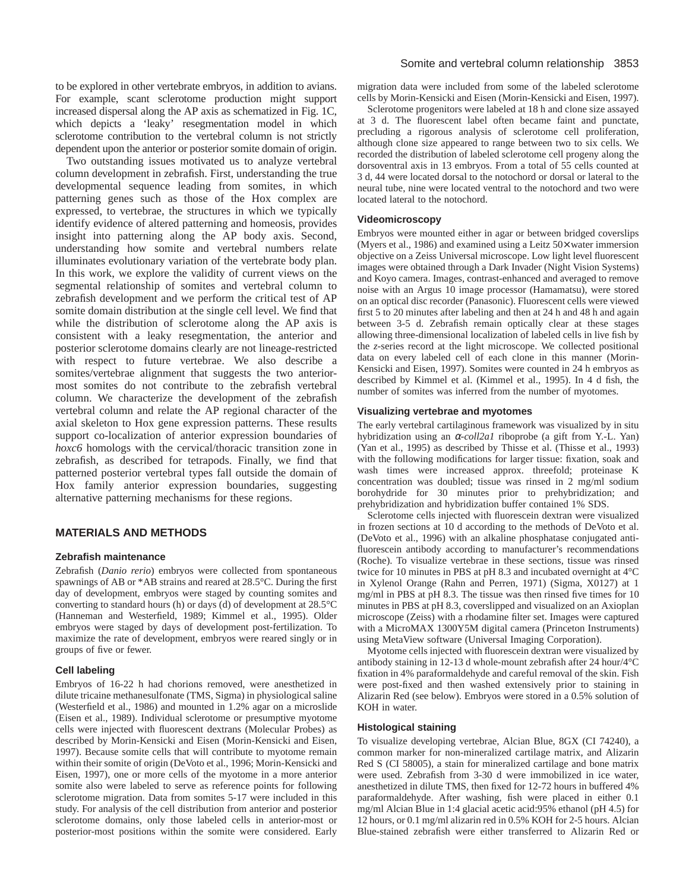to be explored in other vertebrate embryos, in addition to avians. For example, scant sclerotome production might support increased dispersal along the AP axis as schematized in Fig. 1C, which depicts a 'leaky' resegmentation model in which sclerotome contribution to the vertebral column is not strictly dependent upon the anterior or posterior somite domain of origin.

Two outstanding issues motivated us to analyze vertebral column development in zebrafish. First, understanding the true developmental sequence leading from somites, in which patterning genes such as those of the Hox complex are expressed, to vertebrae, the structures in which we typically identify evidence of altered patterning and homeosis, provides insight into patterning along the AP body axis. Second, understanding how somite and vertebral numbers relate illuminates evolutionary variation of the vertebrate body plan. In this work, we explore the validity of current views on the segmental relationship of somites and vertebral column to zebrafish development and we perform the critical test of AP somite domain distribution at the single cell level. We find that while the distribution of sclerotome along the AP axis is consistent with a leaky resegmentation, the anterior and posterior sclerotome domains clearly are not lineage-restricted with respect to future vertebrae. We also describe a somites/vertebrae alignment that suggests the two anteriormost somites do not contribute to the zebrafish vertebral column. We characterize the development of the zebrafish vertebral column and relate the AP regional character of the axial skeleton to Hox gene expression patterns. These results support co-localization of anterior expression boundaries of *hoxc6* homologs with the cervical/thoracic transition zone in zebrafish, as described for tetrapods. Finally, we find that patterned posterior vertebral types fall outside the domain of Hox family anterior expression boundaries, suggesting alternative patterning mechanisms for these regions.

# **MATERIALS AND METHODS**

### **Zebrafish maintenance**

Zebrafish (*Danio rerio*) embryos were collected from spontaneous spawnings of AB or \*AB strains and reared at 28.5°C. During the first day of development, embryos were staged by counting somites and converting to standard hours (h) or days (d) of development at 28.5°C (Hanneman and Westerfield, 1989; Kimmel et al., 1995). Older embryos were staged by days of development post-fertilization. To maximize the rate of development, embryos were reared singly or in groups of five or fewer.

### **Cell labeling**

Embryos of 16-22 h had chorions removed, were anesthetized in dilute tricaine methanesulfonate (TMS, Sigma) in physiological saline (Westerfield et al., 1986) and mounted in 1.2% agar on a microslide (Eisen et al., 1989). Individual sclerotome or presumptive myotome cells were injected with fluorescent dextrans (Molecular Probes) as described by Morin-Kensicki and Eisen (Morin-Kensicki and Eisen, 1997). Because somite cells that will contribute to myotome remain within their somite of origin (DeVoto et al., 1996; Morin-Kensicki and Eisen, 1997), one or more cells of the myotome in a more anterior somite also were labeled to serve as reference points for following sclerotome migration. Data from somites 5-17 were included in this study. For analysis of the cell distribution from anterior and posterior sclerotome domains, only those labeled cells in anterior-most or posterior-most positions within the somite were considered. Early

### Somite and vertebral column relationship 3853

migration data were included from some of the labeled sclerotome cells by Morin-Kensicki and Eisen (Morin-Kensicki and Eisen, 1997).

Sclerotome progenitors were labeled at 18 h and clone size assayed at 3 d. The fluorescent label often became faint and punctate, precluding a rigorous analysis of sclerotome cell proliferation, although clone size appeared to range between two to six cells. We recorded the distribution of labeled sclerotome cell progeny along the dorsoventral axis in 13 embryos. From a total of 55 cells counted at 3 d, 44 were located dorsal to the notochord or dorsal or lateral to the neural tube, nine were located ventral to the notochord and two were located lateral to the notochord.

### **Videomicroscopy**

Embryos were mounted either in agar or between bridged coverslips (Myers et al., 1986) and examined using a Leitz 50× water immersion objective on a Zeiss Universal microscope. Low light level fluorescent images were obtained through a Dark Invader (Night Vision Systems) and Koyo camera. Images, contrast-enhanced and averaged to remove noise with an Argus 10 image processor (Hamamatsu), were stored on an optical disc recorder (Panasonic). Fluorescent cells were viewed first 5 to 20 minutes after labeling and then at 24 h and 48 h and again between 3-5 d. Zebrafish remain optically clear at these stages allowing three-dimensional localization of labeled cells in live fish by the *z*-series record at the light microscope. We collected positional data on every labeled cell of each clone in this manner (Morin-Kensicki and Eisen, 1997). Somites were counted in 24 h embryos as described by Kimmel et al. (Kimmel et al., 1995). In 4 d fish, the number of somites was inferred from the number of myotomes.

#### **Visualizing vertebrae and myotomes**

The early vertebral cartilaginous framework was visualized by in situ hybridization using an α*-coll2a1* riboprobe (a gift from Y.-L. Yan) (Yan et al., 1995) as described by Thisse et al. (Thisse et al., 1993) with the following modifications for larger tissue: fixation, soak and wash times were increased approx. threefold; proteinase K concentration was doubled; tissue was rinsed in 2 mg/ml sodium borohydride for 30 minutes prior to prehybridization; and prehybridization and hybridization buffer contained 1% SDS.

Sclerotome cells injected with fluorescein dextran were visualized in frozen sections at 10 d according to the methods of DeVoto et al. (DeVoto et al., 1996) with an alkaline phosphatase conjugated antifluorescein antibody according to manufacturer's recommendations (Roche). To visualize vertebrae in these sections, tissue was rinsed twice for 10 minutes in PBS at pH 8.3 and incubated overnight at 4°C in Xylenol Orange (Rahn and Perren, 1971) (Sigma, X0127) at 1 mg/ml in PBS at pH 8.3. The tissue was then rinsed five times for 10 minutes in PBS at pH 8.3, coverslipped and visualized on an Axioplan microscope (Zeiss) with a rhodamine filter set. Images were captured with a MicroMAX 1300Y5M digital camera (Princeton Instruments) using MetaView software (Universal Imaging Corporation).

Myotome cells injected with fluorescein dextran were visualized by antibody staining in 12-13 d whole-mount zebrafish after 24 hour/4°C fixation in 4% paraformaldehyde and careful removal of the skin. Fish were post-fixed and then washed extensively prior to staining in Alizarin Red (see below). Embryos were stored in a 0.5% solution of KOH in water.

### **Histological staining**

To visualize developing vertebrae, Alcian Blue, 8GX (CI 74240), a common marker for non-mineralized cartilage matrix, and Alizarin Red S (CI 58005), a stain for mineralized cartilage and bone matrix were used. Zebrafish from 3-30 d were immobilized in ice water, anesthetized in dilute TMS, then fixed for 12-72 hours in buffered 4% paraformaldehyde. After washing, fish were placed in either 0.1 mg/ml Alcian Blue in 1:4 glacial acetic acid:95% ethanol (pH 4.5) for 12 hours, or 0.1 mg/ml alizarin red in 0.5% KOH for 2-5 hours. Alcian Blue-stained zebrafish were either transferred to Alizarin Red or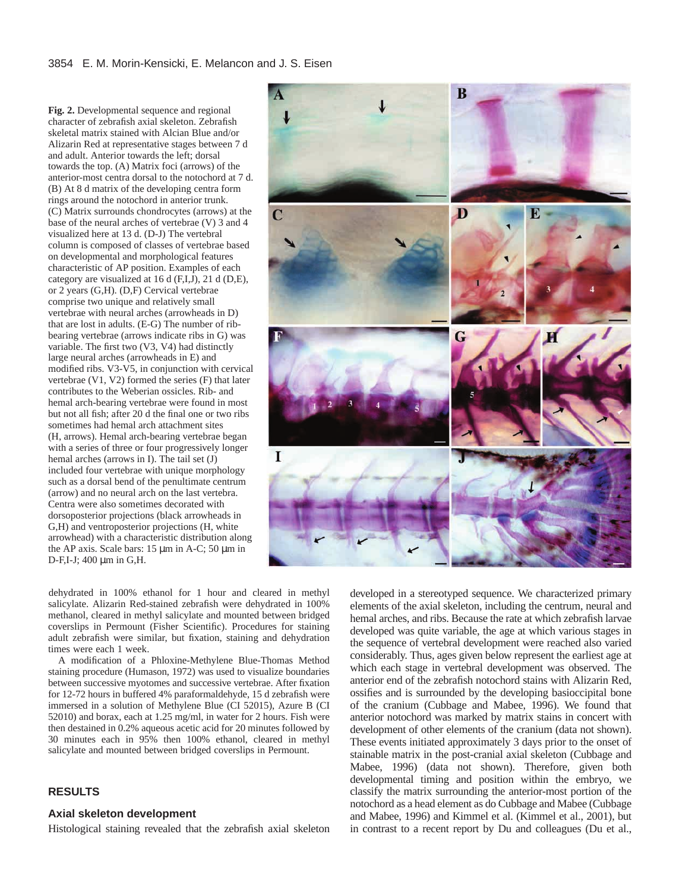**Fig. 2.** Developmental sequence and regional character of zebrafish axial skeleton. Zebrafish skeletal matrix stained with Alcian Blue and/or Alizarin Red at representative stages between 7 d and adult. Anterior towards the left; dorsal towards the top. (A) Matrix foci (arrows) of the anterior-most centra dorsal to the notochord at 7 d. (B) At 8 d matrix of the developing centra form rings around the notochord in anterior trunk. (C) Matrix surrounds chondrocytes (arrows) at the base of the neural arches of vertebrae (V) 3 and 4 visualized here at 13 d. (D-J) The vertebral column is composed of classes of vertebrae based on developmental and morphological features characteristic of AP position. Examples of each category are visualized at 16 d  $(F,I,J)$ , 21 d  $(D,E)$ , or 2 years (G,H). (D,F) Cervical vertebrae comprise two unique and relatively small vertebrae with neural arches (arrowheads in D) that are lost in adults. (E-G) The number of ribbearing vertebrae (arrows indicate ribs in G) was variable. The first two (V3, V4) had distinctly large neural arches (arrowheads in E) and modified ribs. V3-V5, in conjunction with cervical vertebrae (V1, V2) formed the series (F) that later contributes to the Weberian ossicles. Rib- and hemal arch-bearing vertebrae were found in most but not all fish; after 20 d the final one or two ribs sometimes had hemal arch attachment sites (H, arrows). Hemal arch-bearing vertebrae began with a series of three or four progressively longer hemal arches (arrows in I). The tail set (J) included four vertebrae with unique morphology such as a dorsal bend of the penultimate centrum (arrow) and no neural arch on the last vertebra. Centra were also sometimes decorated with dorsoposterior projections (black arrowheads in G,H) and ventroposterior projections (H, white arrowhead) with a characteristic distribution along the AP axis. Scale bars: 15 µm in A-C; 50 µm in D-F,I-J; 400 µm in G,H.

dehydrated in 100% ethanol for 1 hour and cleared in methyl salicylate. Alizarin Red-stained zebrafish were dehydrated in 100% methanol, cleared in methyl salicylate and mounted between bridged coverslips in Permount (Fisher Scientific). Procedures for staining adult zebrafish were similar, but fixation, staining and dehydration times were each 1 week.

A modification of a Phloxine-Methylene Blue-Thomas Method staining procedure (Humason, 1972) was used to visualize boundaries between successive myotomes and successive vertebrae. After fixation for 12-72 hours in buffered 4% paraformaldehyde, 15 d zebrafish were immersed in a solution of Methylene Blue (CI 52015), Azure B (CI 52010) and borax, each at 1.25 mg/ml, in water for 2 hours. Fish were then destained in 0.2% aqueous acetic acid for 20 minutes followed by 30 minutes each in 95% then 100% ethanol, cleared in methyl salicylate and mounted between bridged coverslips in Permount.

# **RESULTS**

### **Axial skeleton development**

Histological staining revealed that the zebrafish axial skeleton



developed in a stereotyped sequence. We characterized primary elements of the axial skeleton, including the centrum, neural and hemal arches, and ribs. Because the rate at which zebrafish larvae developed was quite variable, the age at which various stages in the sequence of vertebral development were reached also varied considerably. Thus, ages given below represent the earliest age at which each stage in vertebral development was observed. The anterior end of the zebrafish notochord stains with Alizarin Red, ossifies and is surrounded by the developing basioccipital bone of the cranium (Cubbage and Mabee, 1996). We found that anterior notochord was marked by matrix stains in concert with development of other elements of the cranium (data not shown). These events initiated approximately 3 days prior to the onset of stainable matrix in the post-cranial axial skeleton (Cubbage and Mabee, 1996) (data not shown). Therefore, given both developmental timing and position within the embryo, we classify the matrix surrounding the anterior-most portion of the notochord as a head element as do Cubbage and Mabee (Cubbage and Mabee, 1996) and Kimmel et al. (Kimmel et al., 2001), but in contrast to a recent report by Du and colleagues (Du et al.,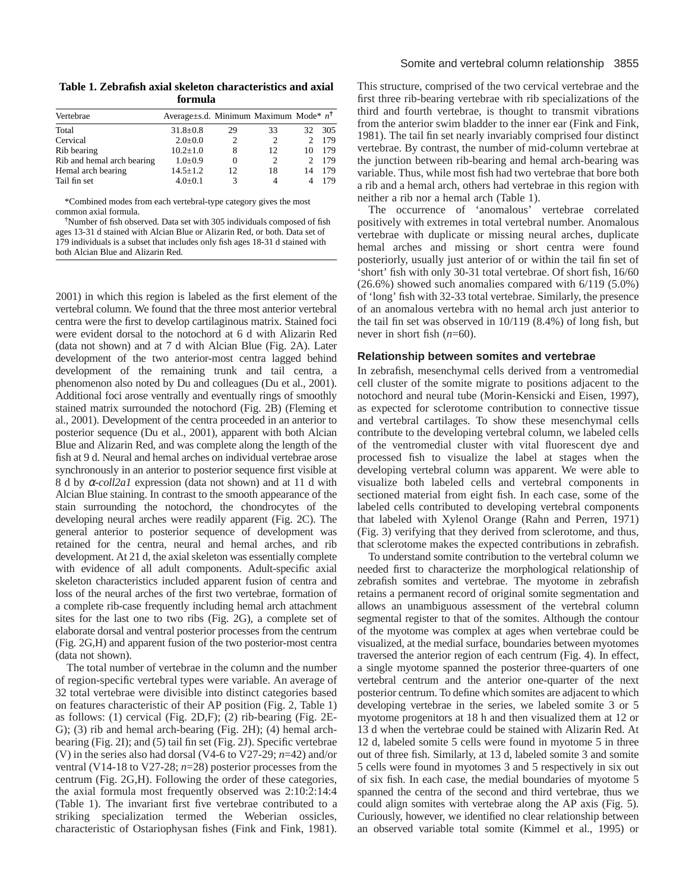| Vertebrae                  | Average had. Minimum Maximum Mode $n^{\dagger}$ |    |    |     |     |
|----------------------------|-------------------------------------------------|----|----|-----|-----|
| Total                      | $31.8 \pm 0.8$                                  | 29 | 33 | 32. | 305 |
| Cervical                   | $2.0 \pm 0.0$                                   | 2  | 2  |     | 179 |
| Rib bearing                | $10.2 \pm 1.0$                                  | 8  | 12 | 10  | 179 |
| Rib and hemal arch bearing | $1.0 \pm 0.9$                                   |    | 2  |     | 179 |
| Hemal arch bearing         | $14.5 \pm 1.2$                                  | 12 | 18 | 14  | 179 |
| Tail fin set               | $4.0+0.1$                                       |    | 4  |     | 179 |

\*Combined modes from each vertebral-type category gives the most common axial formula.

†Number of fish observed. Data set with 305 individuals composed of fish ages 13-31 d stained with Alcian Blue or Alizarin Red, or both. Data set of 179 individuals is a subset that includes only fish ages 18-31 d stained with both Alcian Blue and Alizarin Red.

2001) in which this region is labeled as the first element of the vertebral column. We found that the three most anterior vertebral centra were the first to develop cartilaginous matrix. Stained foci were evident dorsal to the notochord at 6 d with Alizarin Red (data not shown) and at 7 d with Alcian Blue (Fig. 2A). Later development of the two anterior-most centra lagged behind development of the remaining trunk and tail centra, a phenomenon also noted by Du and colleagues (Du et al., 2001). Additional foci arose ventrally and eventually rings of smoothly stained matrix surrounded the notochord (Fig. 2B) (Fleming et al., 2001). Development of the centra proceeded in an anterior to posterior sequence (Du et al., 2001), apparent with both Alcian Blue and Alizarin Red, and was complete along the length of the fish at 9 d. Neural and hemal arches on individual vertebrae arose synchronously in an anterior to posterior sequence first visible at 8 d by α*-coll2a1* expression (data not shown) and at 11 d with Alcian Blue staining. In contrast to the smooth appearance of the stain surrounding the notochord, the chondrocytes of the developing neural arches were readily apparent (Fig. 2C). The general anterior to posterior sequence of development was retained for the centra, neural and hemal arches, and rib development. At 21 d, the axial skeleton was essentially complete with evidence of all adult components. Adult-specific axial skeleton characteristics included apparent fusion of centra and loss of the neural arches of the first two vertebrae, formation of a complete rib-case frequently including hemal arch attachment sites for the last one to two ribs (Fig. 2G), a complete set of elaborate dorsal and ventral posterior processes from the centrum (Fig. 2G,H) and apparent fusion of the two posterior-most centra (data not shown).

The total number of vertebrae in the column and the number of region-specific vertebral types were variable. An average of 32 total vertebrae were divisible into distinct categories based on features characteristic of their AP position (Fig. 2, Table 1) as follows: (1) cervical (Fig. 2D,F); (2) rib-bearing (Fig. 2E-G); (3) rib and hemal arch-bearing (Fig. 2H); (4) hemal archbearing (Fig. 2I); and (5) tail fin set (Fig. 2J). Specific vertebrae (V) in the series also had dorsal (V4-6 to V27-29; *n*=42) and/or ventral (V14-18 to V27-28; *n*=28) posterior processes from the centrum (Fig. 2G,H). Following the order of these categories, the axial formula most frequently observed was 2:10:2:14:4 (Table 1). The invariant first five vertebrae contributed to a striking specialization termed the Weberian ossicles, characteristic of Ostariophysan fishes (Fink and Fink, 1981).

This structure, comprised of the two cervical vertebrae and the first three rib-bearing vertebrae with rib specializations of the third and fourth vertebrae, is thought to transmit vibrations from the anterior swim bladder to the inner ear (Fink and Fink, 1981). The tail fin set nearly invariably comprised four distinct vertebrae. By contrast, the number of mid-column vertebrae at the junction between rib-bearing and hemal arch-bearing was variable. Thus, while most fish had two vertebrae that bore both a rib and a hemal arch, others had vertebrae in this region with neither a rib nor a hemal arch (Table 1).

The occurrence of 'anomalous' vertebrae correlated positively with extremes in total vertebral number. Anomalous vertebrae with duplicate or missing neural arches, duplicate hemal arches and missing or short centra were found posteriorly, usually just anterior of or within the tail fin set of 'short' fish with only 30-31 total vertebrae. Of short fish, 16/60 (26.6%) showed such anomalies compared with 6/119 (5.0%) of 'long' fish with 32-33 total vertebrae. Similarly, the presence of an anomalous vertebra with no hemal arch just anterior to the tail fin set was observed in 10/119 (8.4%) of long fish, but never in short fish (*n*=60).

### **Relationship between somites and vertebrae**

In zebrafish, mesenchymal cells derived from a ventromedial cell cluster of the somite migrate to positions adjacent to the notochord and neural tube (Morin-Kensicki and Eisen, 1997), as expected for sclerotome contribution to connective tissue and vertebral cartilages. To show these mesenchymal cells contribute to the developing vertebral column, we labeled cells of the ventromedial cluster with vital fluorescent dye and processed fish to visualize the label at stages when the developing vertebral column was apparent. We were able to visualize both labeled cells and vertebral components in sectioned material from eight fish. In each case, some of the labeled cells contributed to developing vertebral components that labeled with Xylenol Orange (Rahn and Perren, 1971) (Fig. 3) verifying that they derived from sclerotome, and thus, that sclerotome makes the expected contributions in zebrafish.

To understand somite contribution to the vertebral column we needed first to characterize the morphological relationship of zebrafish somites and vertebrae. The myotome in zebrafish retains a permanent record of original somite segmentation and allows an unambiguous assessment of the vertebral column segmental register to that of the somites. Although the contour of the myotome was complex at ages when vertebrae could be visualized, at the medial surface, boundaries between myotomes traversed the anterior region of each centrum (Fig. 4). In effect, a single myotome spanned the posterior three-quarters of one vertebral centrum and the anterior one-quarter of the next posterior centrum. To define which somites are adjacent to which developing vertebrae in the series, we labeled somite 3 or 5 myotome progenitors at 18 h and then visualized them at 12 or 13 d when the vertebrae could be stained with Alizarin Red. At 12 d, labeled somite 5 cells were found in myotome 5 in three out of three fish. Similarly, at 13 d, labeled somite 3 and somite 5 cells were found in myotomes 3 and 5 respectively in six out of six fish. In each case, the medial boundaries of myotome 5 spanned the centra of the second and third vertebrae, thus we could align somites with vertebrae along the AP axis (Fig. 5). Curiously, however, we identified no clear relationship between an observed variable total somite (Kimmel et al., 1995) or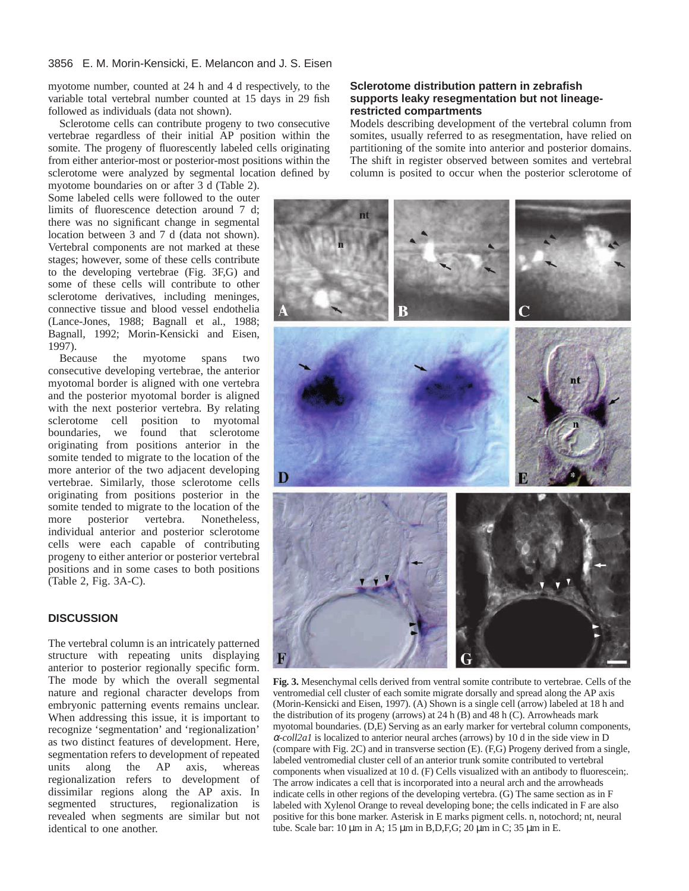myotome number, counted at 24 h and 4 d respectively, to the variable total vertebral number counted at 15 days in 29 fish followed as individuals (data not shown).

Sclerotome cells can contribute progeny to two consecutive vertebrae regardless of their initial AP position within the somite. The progeny of fluorescently labeled cells originating from either anterior-most or posterior-most positions within the sclerotome were analyzed by segmental location defined by

myotome boundaries on or after 3 d (Table 2). Some labeled cells were followed to the outer limits of fluorescence detection around 7 d; there was no significant change in segmental location between 3 and 7 d (data not shown). Vertebral components are not marked at these stages; however, some of these cells contribute to the developing vertebrae (Fig. 3F,G) and some of these cells will contribute to other sclerotome derivatives, including meninges, connective tissue and blood vessel endothelia (Lance-Jones, 1988; Bagnall et al., 1988; Bagnall, 1992; Morin-Kensicki and Eisen, 1997).

the myotome spans two consecutive developing vertebrae, the anterior myotomal border is aligned with one vertebra and the posterior myotomal border is aligned with the next posterior vertebra. By relating sclerotome cell position to myotomal boundaries, we found that sclerotome originating from positions anterior in the somite tended to migrate to the location of the more anterior of the two adjacent developing vertebrae. Similarly, those sclerotome cells originating from positions posterior in the somite tended to migrate to the location of the more posterior vertebra. Nonetheless, individual anterior and posterior sclerotome cells were each capable of contributing progeny to either anterior or posterior vertebral positions and in some cases to both positions (Table 2, Fig. 3A-C).

# **DISCUSSION**

The vertebral column is an intricately patterned structure with repeating units displaying anterior to posterior regionally specific form. The mode by which the overall segmental nature and regional character develops from embryonic patterning events remains unclear. When addressing this issue, it is important to recognize 'segmentation' and 'regionalization' as two distinct features of development. Here, segmentation refers to development of repeated<br>units along the AP axis, whereas units along the AP axis, whereas regionalization refers to development of dissimilar regions along the AP axis. In segmented structures, regionalization is revealed when segments are similar but not identical to one another.

# **Sclerotome distribution pattern in zebrafish supports leaky resegmentation but not lineagerestricted compartments**

Models describing development of the vertebral column from somites, usually referred to as resegmentation, have relied on partitioning of the somite into anterior and posterior domains. The shift in register observed between somites and vertebral column is posited to occur when the posterior sclerotome of



**Fig. 3.** Mesenchymal cells derived from ventral somite contribute to vertebrae. Cells of the ventromedial cell cluster of each somite migrate dorsally and spread along the AP axis (Morin-Kensicki and Eisen, 1997). (A) Shown is a single cell (arrow) labeled at 18 h and the distribution of its progeny (arrows) at 24 h (B) and 48 h (C). Arrowheads mark myotomal boundaries. (D,E) Serving as an early marker for vertebral column components, <sup>α</sup>*-coll2a1* is localized to anterior neural arches (arrows) by 10 d in the side view in D (compare with Fig. 2C) and in transverse section (E). (F,G) Progeny derived from a single, labeled ventromedial cluster cell of an anterior trunk somite contributed to vertebral components when visualized at 10 d. (F) Cells visualized with an antibody to fluorescein;. The arrow indicates a cell that is incorporated into a neural arch and the arrowheads indicate cells in other regions of the developing vertebra. (G) The same section as in F labeled with Xylenol Orange to reveal developing bone; the cells indicated in F are also positive for this bone marker. Asterisk in E marks pigment cells. n, notochord; nt, neural tube. Scale bar: 10  $\mu$ m in A; 15  $\mu$ m in B,D,F,G; 20  $\mu$ m in C; 35  $\mu$ m in E.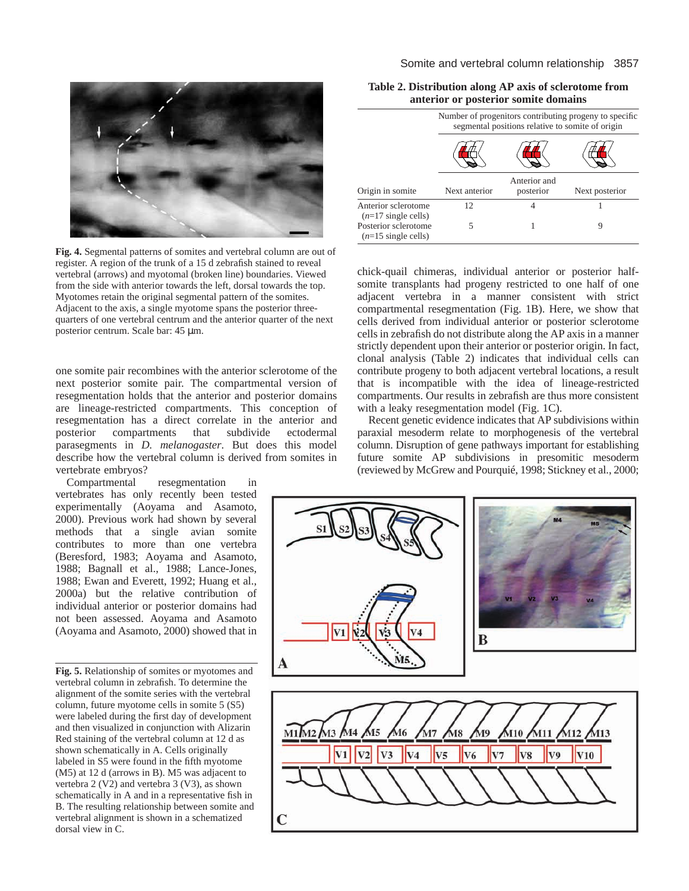

**Fig. 4.** Segmental patterns of somites and vertebral column are out of register. A region of the trunk of a 15 d zebrafish stained to reveal vertebral (arrows) and myotomal (broken line) boundaries. Viewed from the side with anterior towards the left, dorsal towards the top. Myotomes retain the original segmental pattern of the somites. Adjacent to the axis, a single myotome spans the posterior threequarters of one vertebral centrum and the anterior quarter of the next posterior centrum. Scale bar: 45 µm.

one somite pair recombines with the anterior sclerotome of the next posterior somite pair. The compartmental version of resegmentation holds that the anterior and posterior domains are lineage-restricted compartments. This conception of resegmentation has a direct correlate in the anterior and posterior compartments that subdivide ectodermal parasegments in *D. melanogaster*. But does this model describe how the vertebral column is derived from somites in vertebrate embryos?

Compartmental resegmentation in vertebrates has only recently been tested experimentally (Aoyama and Asamoto, 2000). Previous work had shown by several methods that a single avian somite contributes to more than one vertebra (Beresford, 1983; Aoyama and Asamoto, 1988; Bagnall et al., 1988; Lance-Jones, 1988; Ewan and Everett, 1992; Huang et al., 2000a) but the relative contribution of individual anterior or posterior domains had not been assessed. Aoyama and Asamoto (Aoyama and Asamoto, 2000) showed that in

**Fig. 5.** Relationship of somites or myotomes and vertebral column in zebrafish. To determine the alignment of the somite series with the vertebral column, future myotome cells in somite 5 (S5) were labeled during the first day of development and then visualized in conjunction with Alizarin Red staining of the vertebral column at 12 d as shown schematically in A. Cells originally labeled in S5 were found in the fifth myotome (M5) at 12 d (arrows in B). M5 was adjacent to vertebra 2 (V2) and vertebra 3 (V3), as shown schematically in A and in a representative fish in B. The resulting relationship between somite and vertebral alignment is shown in a schematized dorsal view in C.

|                                                       | Number of progenitors contributing progeny to specific<br>segmental positions relative to somite of origin |                           |                |  |  |
|-------------------------------------------------------|------------------------------------------------------------------------------------------------------------|---------------------------|----------------|--|--|
|                                                       |                                                                                                            |                           |                |  |  |
| Origin in somite                                      | Next anterior                                                                                              | Anterior and<br>posterior | Next posterior |  |  |
| Anterior sclerotome<br>$(n=17 \text{ single cells})$  | 12                                                                                                         |                           |                |  |  |
| Posterior sclerotome<br>$(n=15 \text{ single cells})$ | 5                                                                                                          |                           | 9              |  |  |

**Table 2. Distribution along AP axis of sclerotome from anterior or posterior somite domains**

chick-quail chimeras, individual anterior or posterior halfsomite transplants had progeny restricted to one half of one adjacent vertebra in a manner consistent with strict compartmental resegmentation (Fig. 1B). Here, we show that cells derived from individual anterior or posterior sclerotome cells in zebrafish do not distribute along the AP axis in a manner strictly dependent upon their anterior or posterior origin. In fact, clonal analysis (Table 2) indicates that individual cells can contribute progeny to both adjacent vertebral locations, a result that is incompatible with the idea of lineage-restricted compartments. Our results in zebrafish are thus more consistent with a leaky resegmentation model (Fig. 1C).

Recent genetic evidence indicates that AP subdivisions within paraxial mesoderm relate to morphogenesis of the vertebral column. Disruption of gene pathways important for establishing future somite AP subdivisions in presomitic mesoderm (reviewed by McGrew and Pourquié, 1998; Stickney et al., 2000;

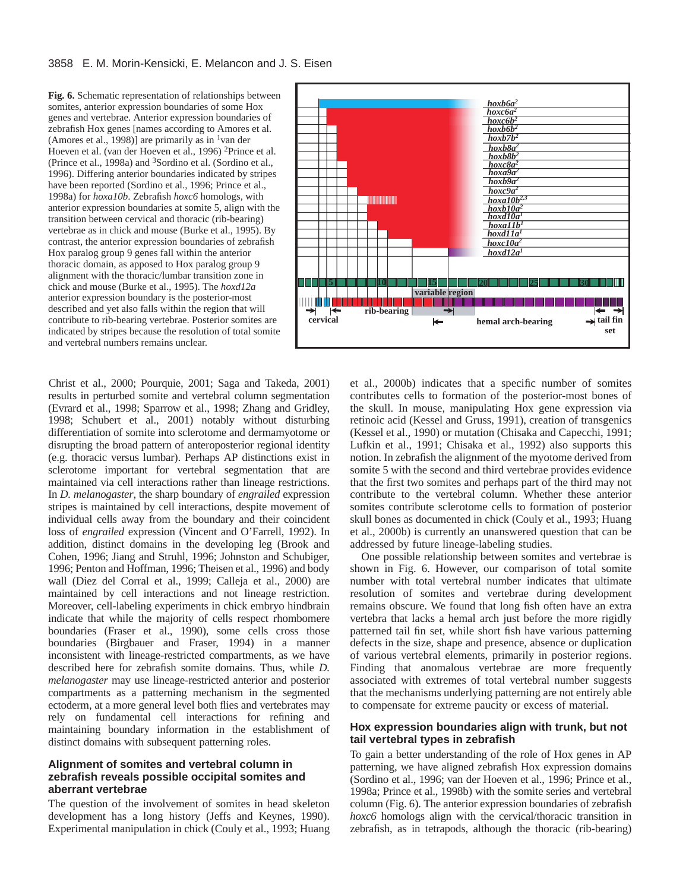**Fig. 6.** Schematic representation of relationships between somites, anterior expression boundaries of some Hox genes and vertebrae. Anterior expression boundaries of zebrafish Hox genes [names according to Amores et al. (Amores et al., 1998)] are primarily as in <sup>1</sup>van der Hoeven et al. (van der Hoeven et al., 1996) 2Prince et al. (Prince et al., 1998a) and 3Sordino et al. (Sordino et al., 1996). Differing anterior boundaries indicated by stripes have been reported (Sordino et al., 1996; Prince et al., 1998a) for *hoxa10b*. Zebrafish *hoxc6* homologs, with anterior expression boundaries at somite 5, align with the transition between cervical and thoracic (rib-bearing) vertebrae as in chick and mouse (Burke et al., 1995). By contrast, the anterior expression boundaries of zebrafish Hox paralog group 9 genes fall within the anterior thoracic domain, as apposed to Hox paralog group 9 alignment with the thoracic/lumbar transition zone in chick and mouse (Burke et al., 1995). The *hoxd12a* anterior expression boundary is the posterior-most described and yet also falls within the region that will contribute to rib-bearing vertebrae. Posterior somites are indicated by stripes because the resolution of total somite and vertebral numbers remains unclear.



Christ et al., 2000; Pourquie, 2001; Saga and Takeda, 2001) results in perturbed somite and vertebral column segmentation (Evrard et al., 1998; Sparrow et al., 1998; Zhang and Gridley, 1998; Schubert et al., 2001) notably without disturbing differentiation of somite into sclerotome and dermamyotome or disrupting the broad pattern of anteroposterior regional identity (e.g. thoracic versus lumbar). Perhaps AP distinctions exist in sclerotome important for vertebral segmentation that are maintained via cell interactions rather than lineage restrictions. In *D. melanogaster*, the sharp boundary of *engrailed* expression stripes is maintained by cell interactions, despite movement of individual cells away from the boundary and their coincident loss of *engrailed* expression (Vincent and O'Farrell, 1992). In addition, distinct domains in the developing leg (Brook and Cohen, 1996; Jiang and Struhl, 1996; Johnston and Schubiger, 1996; Penton and Hoffman, 1996; Theisen et al., 1996) and body wall (Diez del Corral et al., 1999; Calleja et al., 2000) are maintained by cell interactions and not lineage restriction. Moreover, cell-labeling experiments in chick embryo hindbrain indicate that while the majority of cells respect rhombomere boundaries (Fraser et al., 1990), some cells cross those boundaries (Birgbauer and Fraser, 1994) in a manner inconsistent with lineage-restricted compartments, as we have described here for zebrafish somite domains. Thus, while *D. melanogaster* may use lineage-restricted anterior and posterior compartments as a patterning mechanism in the segmented ectoderm, at a more general level both flies and vertebrates may rely on fundamental cell interactions for refining and maintaining boundary information in the establishment of distinct domains with subsequent patterning roles.

### **Alignment of somites and vertebral column in zebrafish reveals possible occipital somites and aberrant vertebrae**

The question of the involvement of somites in head skeleton development has a long history (Jeffs and Keynes, 1990). Experimental manipulation in chick (Couly et al., 1993; Huang et al., 2000b) indicates that a specific number of somites contributes cells to formation of the posterior-most bones of the skull. In mouse, manipulating Hox gene expression via retinoic acid (Kessel and Gruss, 1991), creation of transgenics (Kessel et al., 1990) or mutation (Chisaka and Capecchi, 1991; Lufkin et al., 1991; Chisaka et al., 1992) also supports this notion. In zebrafish the alignment of the myotome derived from somite 5 with the second and third vertebrae provides evidence that the first two somites and perhaps part of the third may not contribute to the vertebral column. Whether these anterior somites contribute sclerotome cells to formation of posterior skull bones as documented in chick (Couly et al., 1993; Huang et al., 2000b) is currently an unanswered question that can be addressed by future lineage-labeling studies.

One possible relationship between somites and vertebrae is shown in Fig. 6. However, our comparison of total somite number with total vertebral number indicates that ultimate resolution of somites and vertebrae during development remains obscure. We found that long fish often have an extra vertebra that lacks a hemal arch just before the more rigidly patterned tail fin set, while short fish have various patterning defects in the size, shape and presence, absence or duplication of various vertebral elements, primarily in posterior regions. Finding that anomalous vertebrae are more frequently associated with extremes of total vertebral number suggests that the mechanisms underlying patterning are not entirely able to compensate for extreme paucity or excess of material.

### **Hox expression boundaries align with trunk, but not tail vertebral types in zebrafish**

To gain a better understanding of the role of Hox genes in AP patterning, we have aligned zebrafish Hox expression domains (Sordino et al., 1996; van der Hoeven et al., 1996; Prince et al., 1998a; Prince et al., 1998b) with the somite series and vertebral column (Fig. 6). The anterior expression boundaries of zebrafish *hoxc6* homologs align with the cervical/thoracic transition in zebrafish, as in tetrapods, although the thoracic (rib-bearing)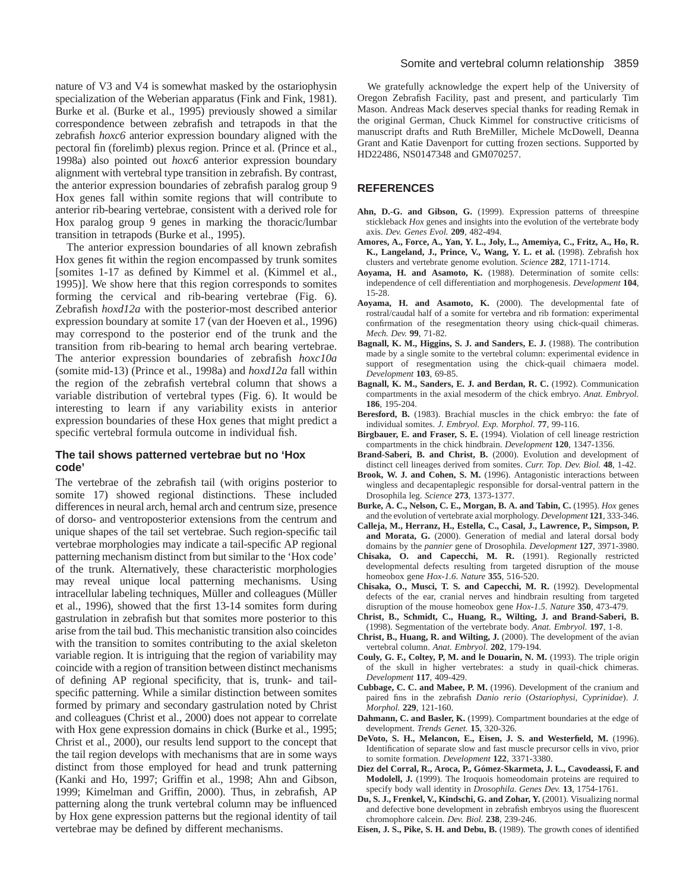nature of V3 and V4 is somewhat masked by the ostariophysin specialization of the Weberian apparatus (Fink and Fink, 1981). Burke et al. (Burke et al., 1995) previously showed a similar correspondence between zebrafish and tetrapods in that the zebrafish *hoxc6* anterior expression boundary aligned with the pectoral fin (forelimb) plexus region. Prince et al. (Prince et al., 1998a) also pointed out *hoxc6* anterior expression boundary alignment with vertebral type transition in zebrafish. By contrast, the anterior expression boundaries of zebrafish paralog group 9 Hox genes fall within somite regions that will contribute to anterior rib-bearing vertebrae, consistent with a derived role for Hox paralog group 9 genes in marking the thoracic/lumbar transition in tetrapods (Burke et al., 1995).

The anterior expression boundaries of all known zebrafish Hox genes fit within the region encompassed by trunk somites [somites 1-17 as defined by Kimmel et al. (Kimmel et al., 1995)]. We show here that this region corresponds to somites forming the cervical and rib-bearing vertebrae (Fig. 6). Zebrafish *hoxd12a* with the posterior-most described anterior expression boundary at somite 17 (van der Hoeven et al., 1996) may correspond to the posterior end of the trunk and the transition from rib-bearing to hemal arch bearing vertebrae. The anterior expression boundaries of zebrafish *hoxc10a* (somite mid-13) (Prince et al., 1998a) and *hoxd12a* fall within the region of the zebrafish vertebral column that shows a variable distribution of vertebral types (Fig. 6). It would be interesting to learn if any variability exists in anterior expression boundaries of these Hox genes that might predict a specific vertebral formula outcome in individual fish.

### **The tail shows patterned vertebrae but no 'Hox code'**

The vertebrae of the zebrafish tail (with origins posterior to somite 17) showed regional distinctions. These included differences in neural arch, hemal arch and centrum size, presence of dorso- and ventroposterior extensions from the centrum and unique shapes of the tail set vertebrae. Such region-specific tail vertebrae morphologies may indicate a tail-specific AP regional patterning mechanism distinct from but similar to the 'Hox code' of the trunk. Alternatively, these characteristic morphologies may reveal unique local patterning mechanisms. Using intracellular labeling techniques, Müller and colleagues (Müller et al., 1996), showed that the first 13-14 somites form during gastrulation in zebrafish but that somites more posterior to this arise from the tail bud. This mechanistic transition also coincides with the transition to somites contributing to the axial skeleton variable region. It is intriguing that the region of variability may coincide with a region of transition between distinct mechanisms of defining AP regional specificity, that is, trunk- and tailspecific patterning. While a similar distinction between somites formed by primary and secondary gastrulation noted by Christ and colleagues (Christ et al., 2000) does not appear to correlate with Hox gene expression domains in chick (Burke et al., 1995; Christ et al., 2000), our results lend support to the concept that the tail region develops with mechanisms that are in some ways distinct from those employed for head and trunk patterning (Kanki and Ho, 1997; Griffin et al., 1998; Ahn and Gibson, 1999; Kimelman and Griffin, 2000). Thus, in zebrafish, AP patterning along the trunk vertebral column may be influenced by Hox gene expression patterns but the regional identity of tail vertebrae may be defined by different mechanisms.

### Somite and vertebral column relationship 3859

We gratefully acknowledge the expert help of the University of Oregon Zebrafish Facility, past and present, and particularly Tim Mason. Andreas Mack deserves special thanks for reading Remak in the original German, Chuck Kimmel for constructive criticisms of manuscript drafts and Ruth BreMiller, Michele McDowell, Deanna Grant and Katie Davenport for cutting frozen sections. Supported by HD22486, NS0147348 and GM070257.

### **REFERENCES**

- **Ahn, D.-G. and Gibson, G.** (1999). Expression patterns of threespine stickleback *Hox* genes and insights into the evolution of the vertebrate body axis. *Dev. Genes Evol.* **209**, 482-494.
- **Amores, A., Force, A., Yan, Y. L., Joly, L., Amemiya, C., Fritz, A., Ho, R. K., Langeland, J., Prince, V., Wang, Y. L. et al.** (1998). Zebrafish hox clusters and vertebrate genome evolution. *Science* **282**, 1711-1714.
- **Aoyama, H. and Asamoto, K.** (1988). Determination of somite cells: independence of cell differentiation and morphogenesis. *Development* **104**, 15-28.
- **Aoyama, H. and Asamoto, K.** (2000). The developmental fate of rostral/caudal half of a somite for vertebra and rib formation: experimental confirmation of the resegmentation theory using chick-quail chimeras. *Mech. Dev.* **99**, 71-82.
- **Bagnall, K. M., Higgins, S. J. and Sanders, E. J.** (1988). The contribution made by a single somite to the vertebral column: experimental evidence in support of resegmentation using the chick-quail chimaera model. *Development* **103**, 69-85.
- Bagnall, K. M., Sanders, E. J. and Berdan, R. C. (1992). Communication compartments in the axial mesoderm of the chick embryo. *Anat. Embryol.* **186**, 195-204.
- **Beresford, B.** (1983). Brachial muscles in the chick embryo: the fate of individual somites. *J. Embryol. Exp. Morphol.* **77**, 99-116.
- **Birgbauer, E. and Fraser, S. E.** (1994). Violation of cell lineage restriction compartments in the chick hindbrain. *Development* **120**, 1347-1356.
- **Brand-Saberi, B. and Christ, B.** (2000). Evolution and development of distinct cell lineages derived from somites. *Curr. Top. Dev. Biol.* **48**, 1-42.
- **Brook, W. J. and Cohen, S. M.** (1996). Antagonistic interactions between wingless and decapentaplegic responsible for dorsal-ventral pattern in the Drosophila leg. *Science* **273**, 1373-1377.
- **Burke, A. C., Nelson, C. E., Morgan, B. A. and Tabin, C.** (1995). *Hox* genes and the evolution of vertebrate axial morphology. *Development* **121**, 333-346.
- **Calleja, M., Herranz, H., Estella, C., Casal, J., Lawrence, P., Simpson, P. and Morata, G.** (2000). Generation of medial and lateral dorsal body domains by the *pannier* gene of Drosophila. *Development* **127**, 3971-3980.
- **Chisaka, O. and Capecchi, M. R.** (1991). Regionally restricted developmental defects resulting from targeted disruption of the mouse homeobox gene *Hox-1.6*. *Nature* **355**, 516-520.
- **Chisaka, O., Musci, T. S. and Capecchi, M. R.** (1992). Developmental defects of the ear, cranial nerves and hindbrain resulting from targeted disruption of the mouse homeobox gene *Hox-1.5*. *Nature* **350**, 473-479.
- **Christ, B., Schmidt, C., Huang, R., Wilting, J. and Brand-Saberi, B.** (1998). Segmentation of the vertebrate body. *Anat. Embryol.* **197**, 1-8.
- **Christ, B., Huang, R. and Wilting, J.** (2000). The development of the avian vertebral column. *Anat. Embryol.* **202**, 179-194.
- **Couly, G. F., Coltey, P, M. and le Douarin, N. M.** (1993). The triple origin of the skull in higher vertebrates: a study in quail-chick chimeras. *Development* **117**, 409-429.
- **Cubbage, C. C. and Mabee, P. M.** (1996). Development of the cranium and paired fins in the zebrafish *Danio rerio* (*Ostariophysi, Cyprinidae*). *J. Morphol.* **229**, 121-160.
- **Dahmann, C. and Basler, K.** (1999). Compartment boundaries at the edge of development. *Trends Genet.* **15**, 320-326.
- **DeVoto, S. H., Melancon, E., Eisen, J. S. and Westerfield, M.** (1996). Identification of separate slow and fast muscle precursor cells in vivo, prior to somite formation. *Development* **122**, 3371-3380.
- **Diez del Corral, R., Aroca, P., Gómez-Skarmeta, J. L., Cavodeassi, F. and Modolell, J.** (1999). The Iroquois homeodomain proteins are required to specify body wall identity in *Drosophila*. *Genes Dev.* **13**, 1754-1761.
- **Du, S. J., Frenkel, V., Kindschi, G. and Zohar, Y.** (2001). Visualizing normal and defective bone development in zebrafish embryos using the fluorescent chromophore calcein. *Dev. Biol.* **238**, 239-246.
- **Eisen, J. S., Pike, S. H. and Debu, B.** (1989). The growth cones of identified